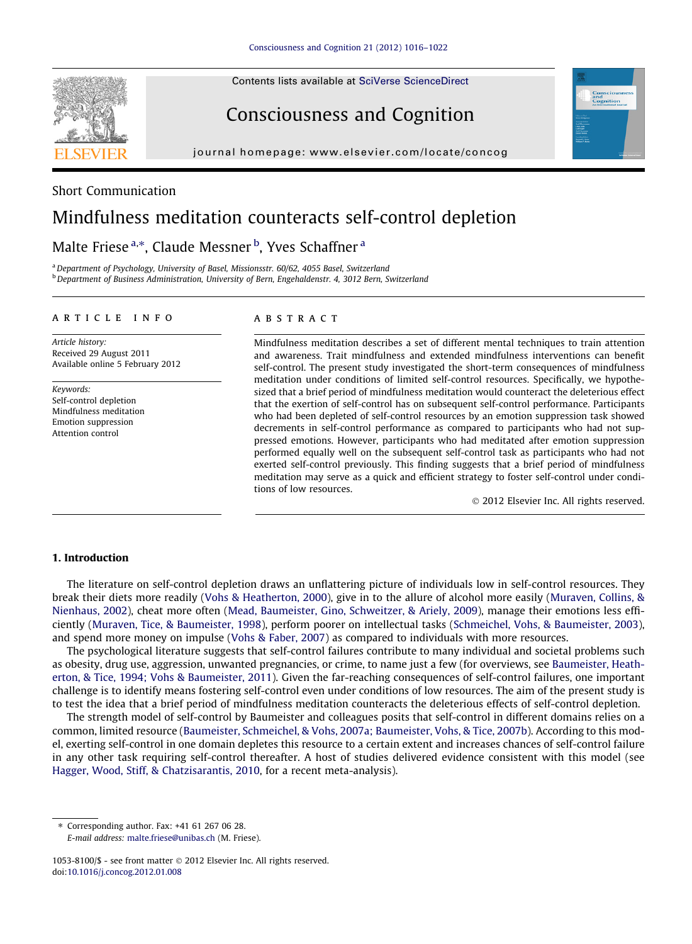Contents lists available at [SciVerse ScienceDirect](http://www.sciencedirect.com/science/journal/10538100)

# Consciousness and Cognition

journal homepage: [www.elsevier.com/locate/concog](http://www.elsevier.com/locate/concog)



Short Communication

# Mindfulness meditation counteracts self-control depletion

# Malte Friese<sup>a,\*</sup>, Claude Messner <sup>b</sup>, Yves Schaffner <sup>a</sup>

a Department of Psychology, University of Basel, Missionsstr. 60/62, 4055 Basel, Switzerland b Department of Business Administration, University of Bern, Engehaldenstr. 4, 3012 Bern, Switzerland

### article info

Article history: Received 29 August 2011 Available online 5 February 2012

Keywords: Self-control depletion Mindfulness meditation Emotion suppression Attention control

# **ABSTRACT**

Mindfulness meditation describes a set of different mental techniques to train attention and awareness. Trait mindfulness and extended mindfulness interventions can benefit self-control. The present study investigated the short-term consequences of mindfulness meditation under conditions of limited self-control resources. Specifically, we hypothesized that a brief period of mindfulness meditation would counteract the deleterious effect that the exertion of self-control has on subsequent self-control performance. Participants who had been depleted of self-control resources by an emotion suppression task showed decrements in self-control performance as compared to participants who had not suppressed emotions. However, participants who had meditated after emotion suppression performed equally well on the subsequent self-control task as participants who had not exerted self-control previously. This finding suggests that a brief period of mindfulness meditation may serve as a quick and efficient strategy to foster self-control under conditions of low resources.

- 2012 Elsevier Inc. All rights reserved.

# 1. Introduction

The literature on self-control depletion draws an unflattering picture of individuals low in self-control resources. They break their diets more readily [\(Vohs & Heatherton, 2000](#page-6-0)), give in to the allure of alcohol more easily [\(Muraven, Collins, &](#page-6-0) [Nienhaus, 2002](#page-6-0)), cheat more often [\(Mead, Baumeister, Gino, Schweitzer, & Ariely, 2009\)](#page-6-0), manage their emotions less efficiently ([Muraven, Tice, & Baumeister, 1998\)](#page-6-0), perform poorer on intellectual tasks ([Schmeichel, Vohs, & Baumeister, 2003\)](#page-6-0), and spend more money on impulse [\(Vohs & Faber, 2007\)](#page-6-0) as compared to individuals with more resources.

The psychological literature suggests that self-control failures contribute to many individual and societal problems such as obesity, drug use, aggression, unwanted pregnancies, or crime, to name just a few (for overviews, see [Baumeister, Heath](#page-5-0)[erton, & Tice, 1994; Vohs & Baumeister, 2011](#page-5-0)). Given the far-reaching consequences of self-control failures, one important challenge is to identify means fostering self-control even under conditions of low resources. The aim of the present study is to test the idea that a brief period of mindfulness meditation counteracts the deleterious effects of self-control depletion.

The strength model of self-control by Baumeister and colleagues posits that self-control in different domains relies on a common, limited resource [\(Baumeister, Schmeichel, & Vohs, 2007a; Baumeister, Vohs, & Tice, 2007b\)](#page-5-0). According to this model, exerting self-control in one domain depletes this resource to a certain extent and increases chances of self-control failure in any other task requiring self-control thereafter. A host of studies delivered evidence consistent with this model (see [Hagger, Wood, Stiff, & Chatzisarantis, 2010](#page-6-0), for a recent meta-analysis).

⇑ Corresponding author. Fax: +41 61 267 06 28.

E-mail address: [malte.friese@unibas.ch](mailto:malte.friese@unibas.ch) (M. Friese).



 $1053-8100$ /\$ - see front matter  $\odot$  2012 Elsevier Inc. All rights reserved. doi[:10.1016/j.concog.2012.01.008](http://dx.doi.org/10.1016/j.concog.2012.01.008)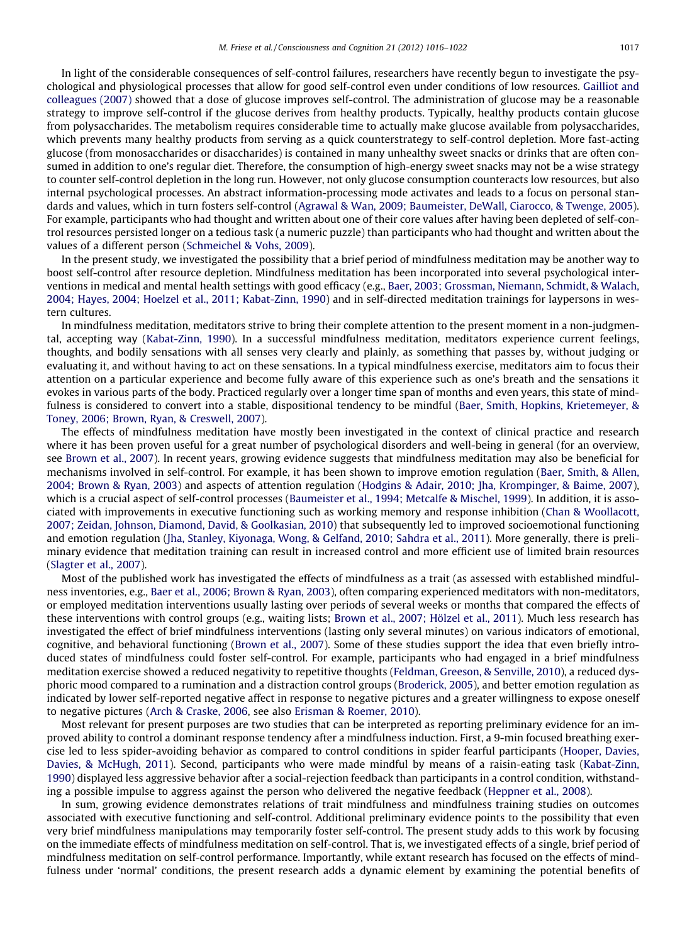In light of the considerable consequences of self-control failures, researchers have recently begun to investigate the psychological and physiological processes that allow for good self-control even under conditions of low resources. [Gailliot and](#page-6-0) [colleagues \(2007\)](#page-6-0) showed that a dose of glucose improves self-control. The administration of glucose may be a reasonable strategy to improve self-control if the glucose derives from healthy products. Typically, healthy products contain glucose from polysaccharides. The metabolism requires considerable time to actually make glucose available from polysaccharides, which prevents many healthy products from serving as a quick counterstrategy to self-control depletion. More fast-acting glucose (from monosaccharides or disaccharides) is contained in many unhealthy sweet snacks or drinks that are often consumed in addition to one's regular diet. Therefore, the consumption of high-energy sweet snacks may not be a wise strategy to counter self-control depletion in the long run. However, not only glucose consumption counteracts low resources, but also internal psychological processes. An abstract information-processing mode activates and leads to a focus on personal standards and values, which in turn fosters self-control ([Agrawal & Wan, 2009; Baumeister, DeWall, Ciarocco, & Twenge, 2005](#page-5-0)). For example, participants who had thought and written about one of their core values after having been depleted of self-control resources persisted longer on a tedious task (a numeric puzzle) than participants who had thought and written about the values of a different person ([Schmeichel & Vohs, 2009\)](#page-6-0).

In the present study, we investigated the possibility that a brief period of mindfulness meditation may be another way to boost self-control after resource depletion. Mindfulness meditation has been incorporated into several psychological interventions in medical and mental health settings with good efficacy (e.g., [Baer, 2003; Grossman, Niemann, Schmidt, & Walach,](#page-5-0) [2004; Hayes, 2004; Hoelzel et al., 2011; Kabat-Zinn, 1990](#page-5-0)) and in self-directed meditation trainings for laypersons in western cultures.

In mindfulness meditation, meditators strive to bring their complete attention to the present moment in a non-judgmental, accepting way [\(Kabat-Zinn, 1990\)](#page-6-0). In a successful mindfulness meditation, meditators experience current feelings, thoughts, and bodily sensations with all senses very clearly and plainly, as something that passes by, without judging or evaluating it, and without having to act on these sensations. In a typical mindfulness exercise, meditators aim to focus their attention on a particular experience and become fully aware of this experience such as one's breath and the sensations it evokes in various parts of the body. Practiced regularly over a longer time span of months and even years, this state of mindfulness is considered to convert into a stable, dispositional tendency to be mindful [\(Baer, Smith, Hopkins, Krietemeyer, &](#page-5-0) [Toney, 2006; Brown, Ryan, & Creswell, 2007](#page-5-0)).

The effects of mindfulness meditation have mostly been investigated in the context of clinical practice and research where it has been proven useful for a great number of psychological disorders and well-being in general (for an overview, see [Brown et al., 2007](#page-6-0)). In recent years, growing evidence suggests that mindfulness meditation may also be beneficial for mechanisms involved in self-control. For example, it has been shown to improve emotion regulation [\(Baer, Smith, & Allen,](#page-5-0) [2004; Brown & Ryan, 2003\)](#page-5-0) and aspects of attention regulation ([Hodgins & Adair, 2010; Jha, Krompinger, & Baime, 2007](#page-6-0)), which is a crucial aspect of self-control processes ([Baumeister et al., 1994; Metcalfe & Mischel, 1999\)](#page-5-0). In addition, it is associated with improvements in executive functioning such as working memory and response inhibition ([Chan & Woollacott,](#page-6-0) [2007; Zeidan, Johnson, Diamond, David, & Goolkasian, 2010](#page-6-0)) that subsequently led to improved socioemotional functioning and emotion regulation ([Jha, Stanley, Kiyonaga, Wong, & Gelfand, 2010; Sahdra et al., 2011](#page-6-0)). More generally, there is preliminary evidence that meditation training can result in increased control and more efficient use of limited brain resources ([Slagter et al., 2007\)](#page-6-0).

Most of the published work has investigated the effects of mindfulness as a trait (as assessed with established mindfulness inventories, e.g., [Baer et al., 2006; Brown & Ryan, 2003](#page-5-0)), often comparing experienced meditators with non-meditators, or employed meditation interventions usually lasting over periods of several weeks or months that compared the effects of these interventions with control groups (e.g., waiting lists; [Brown et al., 2007; Hölzel et al., 2011](#page-6-0)). Much less research has investigated the effect of brief mindfulness interventions (lasting only several minutes) on various indicators of emotional, cognitive, and behavioral functioning ([Brown et al., 2007](#page-6-0)). Some of these studies support the idea that even briefly introduced states of mindfulness could foster self-control. For example, participants who had engaged in a brief mindfulness meditation exercise showed a reduced negativity to repetitive thoughts ([Feldman, Greeson, & Senville, 2010](#page-6-0)), a reduced dysphoric mood compared to a rumination and a distraction control groups [\(Broderick, 2005](#page-6-0)), and better emotion regulation as indicated by lower self-reported negative affect in response to negative pictures and a greater willingness to expose oneself to negative pictures [\(Arch & Craske, 2006,](#page-5-0) see also [Erisman & Roemer, 2010](#page-6-0)).

Most relevant for present purposes are two studies that can be interpreted as reporting preliminary evidence for an improved ability to control a dominant response tendency after a mindfulness induction. First, a 9-min focused breathing exercise led to less spider-avoiding behavior as compared to control conditions in spider fearful participants ([Hooper, Davies,](#page-6-0) [Davies, & McHugh, 2011\)](#page-6-0). Second, participants who were made mindful by means of a raisin-eating task [\(Kabat-Zinn,](#page-6-0) [1990\)](#page-6-0) displayed less aggressive behavior after a social-rejection feedback than participants in a control condition, withstanding a possible impulse to aggress against the person who delivered the negative feedback [\(Heppner et al., 2008](#page-6-0)).

In sum, growing evidence demonstrates relations of trait mindfulness and mindfulness training studies on outcomes associated with executive functioning and self-control. Additional preliminary evidence points to the possibility that even very brief mindfulness manipulations may temporarily foster self-control. The present study adds to this work by focusing on the immediate effects of mindfulness meditation on self-control. That is, we investigated effects of a single, brief period of mindfulness meditation on self-control performance. Importantly, while extant research has focused on the effects of mindfulness under 'normal' conditions, the present research adds a dynamic element by examining the potential benefits of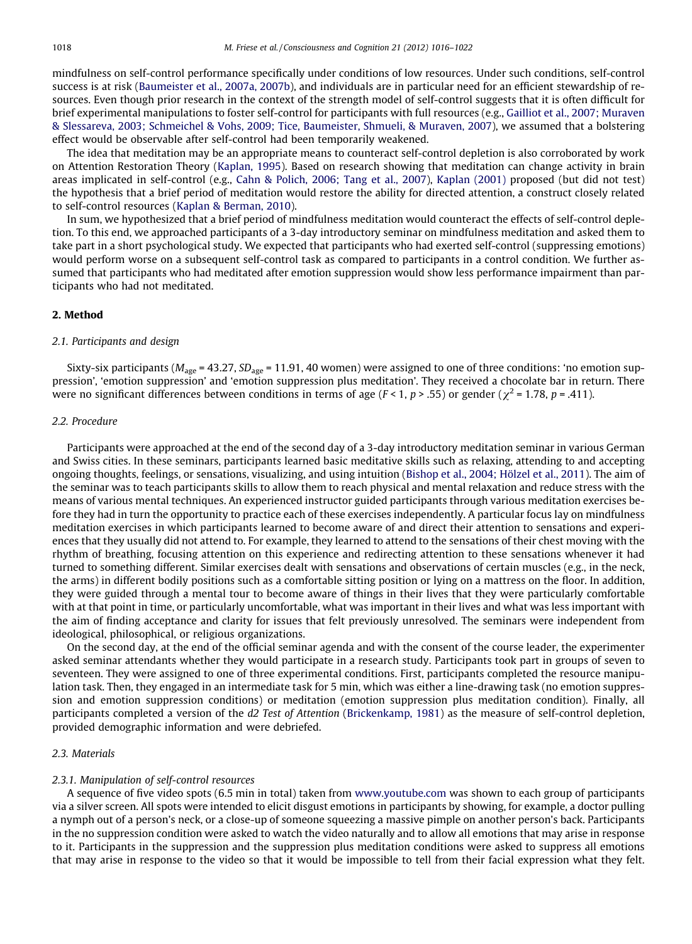mindfulness on self-control performance specifically under conditions of low resources. Under such conditions, self-control success is at risk [\(Baumeister et al., 2007a, 2007b](#page-5-0)), and individuals are in particular need for an efficient stewardship of resources. Even though prior research in the context of the strength model of self-control suggests that it is often difficult for brief experimental manipulations to foster self-control for participants with full resources (e.g., [Gailliot et al., 2007; Muraven](#page-6-0) [& Slessareva, 2003; Schmeichel & Vohs, 2009; Tice, Baumeister, Shmueli, & Muraven, 2007](#page-6-0)), we assumed that a bolstering effect would be observable after self-control had been temporarily weakened.

The idea that meditation may be an appropriate means to counteract self-control depletion is also corroborated by work on Attention Restoration Theory [\(Kaplan, 1995](#page-6-0)). Based on research showing that meditation can change activity in brain areas implicated in self-control (e.g., [Cahn & Polich, 2006; Tang et al., 2007\)](#page-6-0), [Kaplan \(2001\)](#page-6-0) proposed (but did not test) the hypothesis that a brief period of meditation would restore the ability for directed attention, a construct closely related to self-control resources [\(Kaplan & Berman, 2010\)](#page-6-0).

In sum, we hypothesized that a brief period of mindfulness meditation would counteract the effects of self-control depletion. To this end, we approached participants of a 3-day introductory seminar on mindfulness meditation and asked them to take part in a short psychological study. We expected that participants who had exerted self-control (suppressing emotions) would perform worse on a subsequent self-control task as compared to participants in a control condition. We further assumed that participants who had meditated after emotion suppression would show less performance impairment than participants who had not meditated.

## 2. Method

#### 2.1. Participants and design

Sixty-six participants ( $M_{\text{age}}$  = 43.27,  $SD_{\text{age}}$  = 11.91, 40 women) were assigned to one of three conditions: 'no emotion suppression', 'emotion suppression' and 'emotion suppression plus meditation'. They received a chocolate bar in return. There were no significant differences between conditions in terms of age ( $F < 1$ ,  $p > .55$ ) or gender ( $\chi^2 = 1.78$ ,  $p = .411$ ).

#### 2.2. Procedure

Participants were approached at the end of the second day of a 3-day introductory meditation seminar in various German and Swiss cities. In these seminars, participants learned basic meditative skills such as relaxing, attending to and accepting ongoing thoughts, feelings, or sensations, visualizing, and using intuition ([Bishop et al., 2004; Hölzel et al., 2011\)](#page-5-0). The aim of the seminar was to teach participants skills to allow them to reach physical and mental relaxation and reduce stress with the means of various mental techniques. An experienced instructor guided participants through various meditation exercises before they had in turn the opportunity to practice each of these exercises independently. A particular focus lay on mindfulness meditation exercises in which participants learned to become aware of and direct their attention to sensations and experiences that they usually did not attend to. For example, they learned to attend to the sensations of their chest moving with the rhythm of breathing, focusing attention on this experience and redirecting attention to these sensations whenever it had turned to something different. Similar exercises dealt with sensations and observations of certain muscles (e.g., in the neck, the arms) in different bodily positions such as a comfortable sitting position or lying on a mattress on the floor. In addition, they were guided through a mental tour to become aware of things in their lives that they were particularly comfortable with at that point in time, or particularly uncomfortable, what was important in their lives and what was less important with the aim of finding acceptance and clarity for issues that felt previously unresolved. The seminars were independent from ideological, philosophical, or religious organizations.

On the second day, at the end of the official seminar agenda and with the consent of the course leader, the experimenter asked seminar attendants whether they would participate in a research study. Participants took part in groups of seven to seventeen. They were assigned to one of three experimental conditions. First, participants completed the resource manipulation task. Then, they engaged in an intermediate task for 5 min, which was either a line-drawing task (no emotion suppression and emotion suppression conditions) or meditation (emotion suppression plus meditation condition). Finally, all participants completed a version of the d2 Test of Attention [\(Brickenkamp, 1981](#page-6-0)) as the measure of self-control depletion, provided demographic information and were debriefed.

#### 2.3. Materials

#### 2.3.1. Manipulation of self-control resources

A sequence of five video spots (6.5 min in total) taken from [www.youtube.com](http://www.youtube.com) was shown to each group of participants via a silver screen. All spots were intended to elicit disgust emotions in participants by showing, for example, a doctor pulling a nymph out of a person's neck, or a close-up of someone squeezing a massive pimple on another person's back. Participants in the no suppression condition were asked to watch the video naturally and to allow all emotions that may arise in response to it. Participants in the suppression and the suppression plus meditation conditions were asked to suppress all emotions that may arise in response to the video so that it would be impossible to tell from their facial expression what they felt.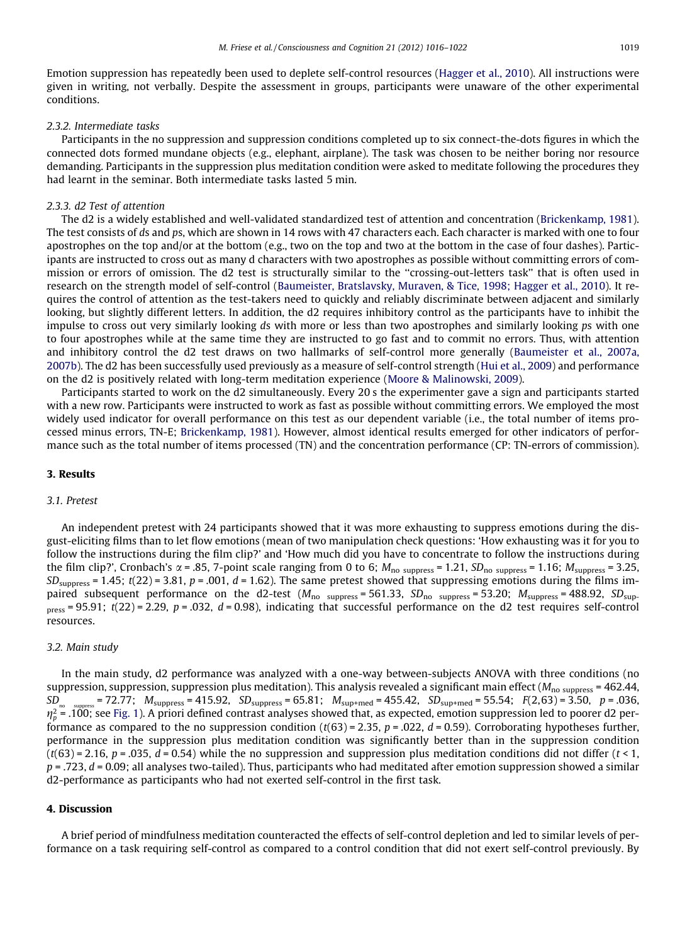Emotion suppression has repeatedly been used to deplete self-control resources ([Hagger et al., 2010\)](#page-6-0). All instructions were given in writing, not verbally. Despite the assessment in groups, participants were unaware of the other experimental conditions.

#### 2.3.2. Intermediate tasks

Participants in the no suppression and suppression conditions completed up to six connect-the-dots figures in which the connected dots formed mundane objects (e.g., elephant, airplane). The task was chosen to be neither boring nor resource demanding. Participants in the suppression plus meditation condition were asked to meditate following the procedures they had learnt in the seminar. Both intermediate tasks lasted 5 min.

#### 2.3.3. d2 Test of attention

The d2 is a widely established and well-validated standardized test of attention and concentration [\(Brickenkamp, 1981](#page-6-0)). The test consists of ds and ps, which are shown in 14 rows with 47 characters each. Each character is marked with one to four apostrophes on the top and/or at the bottom (e.g., two on the top and two at the bottom in the case of four dashes). Participants are instructed to cross out as many d characters with two apostrophes as possible without committing errors of commission or errors of omission. The d2 test is structurally similar to the ''crossing-out-letters task'' that is often used in research on the strength model of self-control [\(Baumeister, Bratslavsky, Muraven, & Tice, 1998; Hagger et al., 2010](#page-5-0)). It requires the control of attention as the test-takers need to quickly and reliably discriminate between adjacent and similarly looking, but slightly different letters. In addition, the d2 requires inhibitory control as the participants have to inhibit the impulse to cross out very similarly looking ds with more or less than two apostrophes and similarly looking ps with one to four apostrophes while at the same time they are instructed to go fast and to commit no errors. Thus, with attention and inhibitory control the d2 test draws on two hallmarks of self-control more generally ([Baumeister et al., 2007a,](#page-5-0) [2007b](#page-5-0)). The d2 has been successfully used previously as a measure of self-control strength [\(Hui et al., 2009](#page-6-0)) and performance on the d2 is positively related with long-term meditation experience [\(Moore & Malinowski, 2009\)](#page-6-0).

Participants started to work on the d2 simultaneously. Every 20 s the experimenter gave a sign and participants started with a new row. Participants were instructed to work as fast as possible without committing errors. We employed the most widely used indicator for overall performance on this test as our dependent variable (i.e., the total number of items processed minus errors, TN-E; [Brickenkamp, 1981](#page-6-0)). However, almost identical results emerged for other indicators of performance such as the total number of items processed (TN) and the concentration performance (CP: TN-errors of commission).

# 3. Results

# 3.1. Pretest

An independent pretest with 24 participants showed that it was more exhausting to suppress emotions during the disgust-eliciting films than to let flow emotions (mean of two manipulation check questions: 'How exhausting was it for you to follow the instructions during the film clip?' and 'How much did you have to concentrate to follow the instructions during the film clip?', Cronbach's  $\alpha$  = .85, 7-point scale ranging from 0 to 6;  $M_{\text{no suppress}} = 1.21$ ,  $SD_{\text{no suppress}} = 1.16$ ;  $M_{\text{suppress}} = 3.25$ ,  $SD<sub>suppress</sub> = 1.45$ ;  $t(22) = 3.81$ ,  $p = .001$ ,  $d = 1.62$ ). The same pretest showed that suppressing emotions during the films impaired subsequent performance on the d2-test ( $M_{\text{no suppress}} = 561.33$ ,  $SD_{\text{no suppress}} = 53.20$ ;  $M_{\text{suppress}} = 488.92$ ,  $SD_{\text{sup}}$  $_{\text{press}}$  = 95.91;  $t(22)$  = 2.29,  $p$  = .032,  $d$  = 0.98), indicating that successful performance on the d2 test requires self-control resources.

# 3.2. Main study

In the main study, d2 performance was analyzed with a one-way between-subjects ANOVA with three conditions (no suppression, suppression, suppression plus meditation). This analysis revealed a significant main effect ( $M_{no\ supers}$  = 462.44,  $SD_{\text{no} \text{sumness}} = 72.77; M_{\text{suppress}} = 415.92, SD_{\text{suppress}} = 65.81; M_{\text{sup+med}} = 455.42, SD_{\text{sup+med}} = 55.54; F(2,63) = 3.50, p = .036,$  $\eta_p^2$  = .100; see [Fig. 1](#page-4-0)). A priori defined contrast analyses showed that, as expected, emotion suppression led to poorer d2 performance as compared to the no suppression condition  $(t(63) = 2.35, p = .022, d = 0.59)$ . Corroborating hypotheses further, performance in the suppression plus meditation condition was significantly better than in the suppression condition  $(t(63) = 2.16, p = .035, d = 0.54)$  while the no suppression and suppression plus meditation conditions did not differ  $(t < 1,$  $p = .723$ ,  $d = 0.09$ ; all analyses two-tailed). Thus, participants who had meditated after emotion suppression showed a similar d2-performance as participants who had not exerted self-control in the first task.

#### 4. Discussion

A brief period of mindfulness meditation counteracted the effects of self-control depletion and led to similar levels of performance on a task requiring self-control as compared to a control condition that did not exert self-control previously. By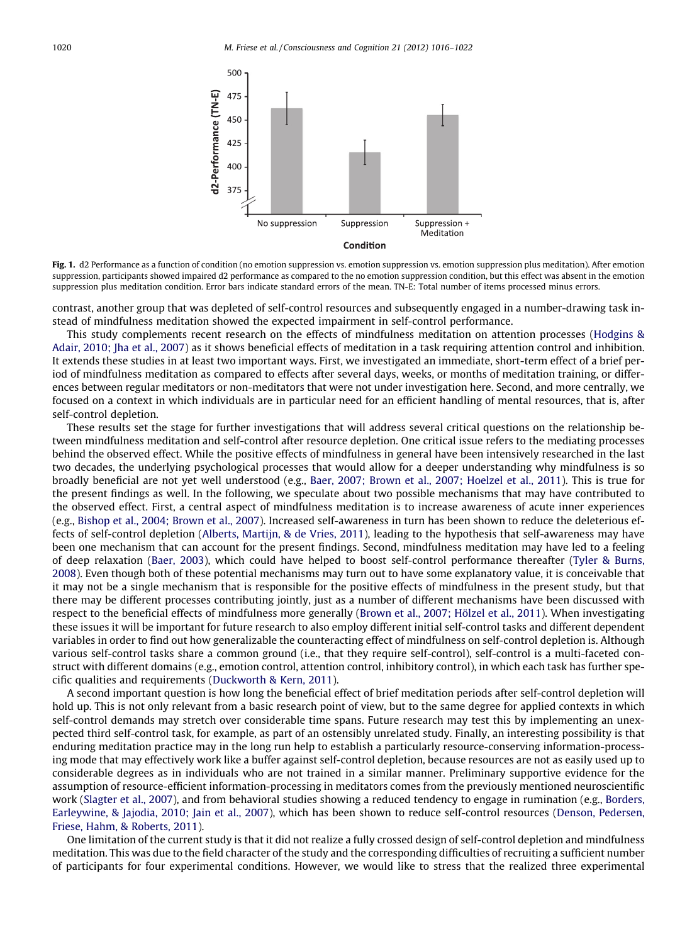<span id="page-4-0"></span>

Fig. 1. d2 Performance as a function of condition (no emotion suppression vs. emotion suppression vs. emotion suppression plus meditation). After emotion suppression, participants showed impaired d2 performance as compared to the no emotion suppression condition, but this effect was absent in the emotion suppression plus meditation condition. Error bars indicate standard errors of the mean. TN-E: Total number of items processed minus errors.

contrast, another group that was depleted of self-control resources and subsequently engaged in a number-drawing task instead of mindfulness meditation showed the expected impairment in self-control performance.

This study complements recent research on the effects of mindfulness meditation on attention processes [\(Hodgins &](#page-6-0) [Adair, 2010; Jha et al., 2007](#page-6-0)) as it shows beneficial effects of meditation in a task requiring attention control and inhibition. It extends these studies in at least two important ways. First, we investigated an immediate, short-term effect of a brief period of mindfulness meditation as compared to effects after several days, weeks, or months of meditation training, or differences between regular meditators or non-meditators that were not under investigation here. Second, and more centrally, we focused on a context in which individuals are in particular need for an efficient handling of mental resources, that is, after self-control depletion.

These results set the stage for further investigations that will address several critical questions on the relationship between mindfulness meditation and self-control after resource depletion. One critical issue refers to the mediating processes behind the observed effect. While the positive effects of mindfulness in general have been intensively researched in the last two decades, the underlying psychological processes that would allow for a deeper understanding why mindfulness is so broadly beneficial are not yet well understood (e.g., [Baer, 2007; Brown et al., 2007; Hoelzel et al., 2011](#page-5-0)). This is true for the present findings as well. In the following, we speculate about two possible mechanisms that may have contributed to the observed effect. First, a central aspect of mindfulness meditation is to increase awareness of acute inner experiences (e.g., [Bishop et al., 2004; Brown et al., 2007](#page-5-0)). Increased self-awareness in turn has been shown to reduce the deleterious effects of self-control depletion [\(Alberts, Martijn, & de Vries, 2011\)](#page-5-0), leading to the hypothesis that self-awareness may have been one mechanism that can account for the present findings. Second, mindfulness meditation may have led to a feeling of deep relaxation [\(Baer, 2003\)](#page-5-0), which could have helped to boost self-control performance thereafter [\(Tyler & Burns,](#page-6-0) [2008](#page-6-0)). Even though both of these potential mechanisms may turn out to have some explanatory value, it is conceivable that it may not be a single mechanism that is responsible for the positive effects of mindfulness in the present study, but that there may be different processes contributing jointly, just as a number of different mechanisms have been discussed with respect to the beneficial effects of mindfulness more generally [\(Brown et al., 2007; Hölzel et al., 2011\)](#page-6-0). When investigating these issues it will be important for future research to also employ different initial self-control tasks and different dependent variables in order to find out how generalizable the counteracting effect of mindfulness on self-control depletion is. Although various self-control tasks share a common ground (i.e., that they require self-control), self-control is a multi-faceted construct with different domains (e.g., emotion control, attention control, inhibitory control), in which each task has further specific qualities and requirements [\(Duckworth & Kern, 2011\)](#page-6-0).

A second important question is how long the beneficial effect of brief meditation periods after self-control depletion will hold up. This is not only relevant from a basic research point of view, but to the same degree for applied contexts in which self-control demands may stretch over considerable time spans. Future research may test this by implementing an unexpected third self-control task, for example, as part of an ostensibly unrelated study. Finally, an interesting possibility is that enduring meditation practice may in the long run help to establish a particularly resource-conserving information-processing mode that may effectively work like a buffer against self-control depletion, because resources are not as easily used up to considerable degrees as in individuals who are not trained in a similar manner. Preliminary supportive evidence for the assumption of resource-efficient information-processing in meditators comes from the previously mentioned neuroscientific work [\(Slagter et al., 2007](#page-6-0)), and from behavioral studies showing a reduced tendency to engage in rumination (e.g., [Borders,](#page-5-0) [Earleywine, & Jajodia, 2010; Jain et al., 2007\)](#page-5-0), which has been shown to reduce self-control resources [\(Denson, Pedersen,](#page-6-0) [Friese, Hahm, & Roberts, 2011\)](#page-6-0).

One limitation of the current study is that it did not realize a fully crossed design of self-control depletion and mindfulness meditation. This was due to the field character of the study and the corresponding difficulties of recruiting a sufficient number of participants for four experimental conditions. However, we would like to stress that the realized three experimental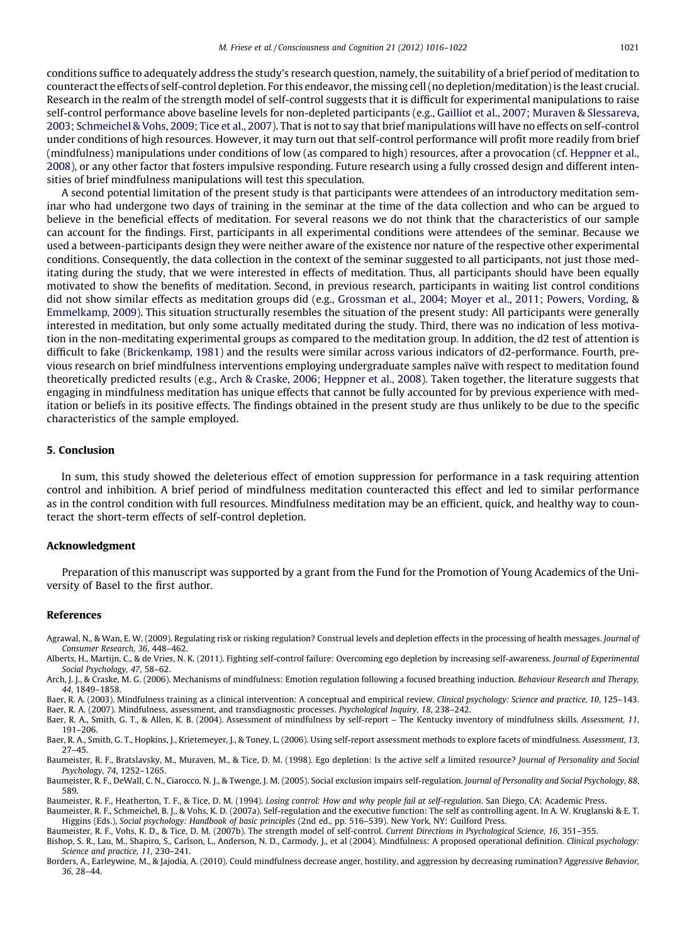<span id="page-5-0"></span>conditions suffice to adequately address the study's research question, namely, the suitability of a brief period of meditation to counteract the effects of self-control depletion. For this endeavor, the missing cell (no depletion/meditation) is the least crucial. Research in the realm of the strength model of self-control suggests that it is difficult for experimental manipulations to raise self-control performance above baseline levels for non-depleted participants (e.g., [Gailliot et al., 2007; Muraven & Slessareva,](#page-6-0) [2003; Schmeichel & Vohs, 2009; Tice et al., 2007](#page-6-0)). That is not to say that brief manipulations will have no effects on self-control under conditions of high resources. However, it may turn out that self-control performance will profit more readily from brief (mindfulness) manipulations under conditions of low (as compared to high) resources, after a provocation (cf. [Heppner et al.,](#page-6-0) [2008\)](#page-6-0), or any other factor that fosters impulsive responding. Future research using a fully crossed design and different intensities of brief mindfulness manipulations will test this speculation.

A second potential limitation of the present study is that participants were attendees of an introductory meditation seminar who had undergone two days of training in the seminar at the time of the data collection and who can be argued to believe in the beneficial effects of meditation. For several reasons we do not think that the characteristics of our sample can account for the findings. First, participants in all experimental conditions were attendees of the seminar. Because we used a between-participants design they were neither aware of the existence nor nature of the respective other experimental conditions. Consequently, the data collection in the context of the seminar suggested to all participants, not just those meditating during the study, that we were interested in effects of meditation. Thus, all participants should have been equally motivated to show the benefits of meditation. Second, in previous research, participants in waiting list control conditions did not show similar effects as meditation groups did (e.g., [Grossman et al., 2004; Moyer et al., 2011; Powers, Vording, &](#page-6-0) [Emmelkamp, 2009\)](#page-6-0). This situation structurally resembles the situation of the present study: All participants were generally interested in meditation, but only some actually meditated during the study. Third, there was no indication of less motivation in the non-meditating experimental groups as compared to the meditation group. In addition, the d2 test of attention is difficult to fake [\(Brickenkamp, 1981\)](#page-6-0) and the results were similar across various indicators of d2-performance. Fourth, previous research on brief mindfulness interventions employing undergraduate samples naïve with respect to meditation found theoretically predicted results (e.g., Arch & Craske, 2006; Heppner et al., 2008). Taken together, the literature suggests that engaging in mindfulness meditation has unique effects that cannot be fully accounted for by previous experience with meditation or beliefs in its positive effects. The findings obtained in the present study are thus unlikely to be due to the specific characteristics of the sample employed.

#### 5. Conclusion

In sum, this study showed the deleterious effect of emotion suppression for performance in a task requiring attention control and inhibition. A brief period of mindfulness meditation counteracted this effect and led to similar performance as in the control condition with full resources. Mindfulness meditation may be an efficient, quick, and healthy way to counteract the short-term effects of self-control depletion.

#### Acknowledgment

Preparation of this manuscript was supported by a grant from the Fund for the Promotion of Young Academics of the University of Basel to the first author.

#### References

Agrawal, N., & Wan, E. W. (2009). Regulating risk or risking regulation? Construal levels and depletion effects in the processing of health messages. Journal of Consumer Research, 36, 448–462.

Alberts, H., Martijn, C., & de Vries, N. K. (2011). Fighting self-control failure: Overcoming ego depletion by increasing self-awareness. Journal of Experimental Social Psychology, 47, 58–62.

Arch, J. J., & Craske, M. G. (2006). Mechanisms of mindfulness: Emotion regulation following a focused breathing induction. Behaviour Research and Therapy, 44, 1849–1858.

Baer, R. A. (2003). Mindfulness training as a clinical intervention: A conceptual and empirical review. Clinical psychology: Science and practice, 10, 125–143. Baer, R. A. (2007). Mindfulness, assessment, and transdiagnostic processes. Psychological Inquiry, 18, 238–242.

Baer, R. A., Smith, G. T., & Allen, K. B. (2004). Assessment of mindfulness by self-report – The Kentucky inventory of mindfulness skills. Assessment, 11, 191–206.

Baer, R. A., Smith, G. T., Hopkins, J., Krietemeyer, J., & Toney, L. (2006). Using self-report assessment methods to explore facets of mindfulness. Assessment, 13, 27–45.

Baumeister, R. F., Bratslavsky, M., Muraven, M., & Tice, D. M. (1998). Ego depletion: Is the active self a limited resource? Journal of Personality and Social Psychology, 74, 1252–1265.

Baumeister, R. F., DeWall, C. N., Ciarocco, N. J., & Twenge, J. M. (2005). Social exclusion impairs self-regulation. Journal of Personality and Social Psychology, 88, 589.

Baumeister, R. F., Heatherton, T. F., & Tice, D. M. (1994). Losing control: How and why people fail at self-regulation. San Diego, CA: Academic Press.

Baumeister, R. F., Schmeichel, B. J., & Vohs, K. D. (2007a). Self-regulation and the executive function: The self as controlling agent. In A. W. Kruglanski & E. T. Higgins (Eds.), Social psychology: Handbook of basic principles (2nd ed., pp. 516–539). New York, NY: Guilford Press.

Baumeister, R. F., Vohs, K. D., & Tice, D. M. (2007b). The strength model of self-control. Current Directions in Psychological Science, 16, 351–355.

Bishop, S. R., Lau, M., Shapiro, S., Carlson, L., Anderson, N. D., Carmody, J., et al (2004). Mindfulness: A proposed operational definition. Clinical psychology: Science and practice, 11, 230–241.

Borders, A., Earleywine, M., & Jajodia, A. (2010). Could mindfulness decrease anger, hostility, and aggression by decreasing rumination? Aggressive Behavior, 36, 28–44.